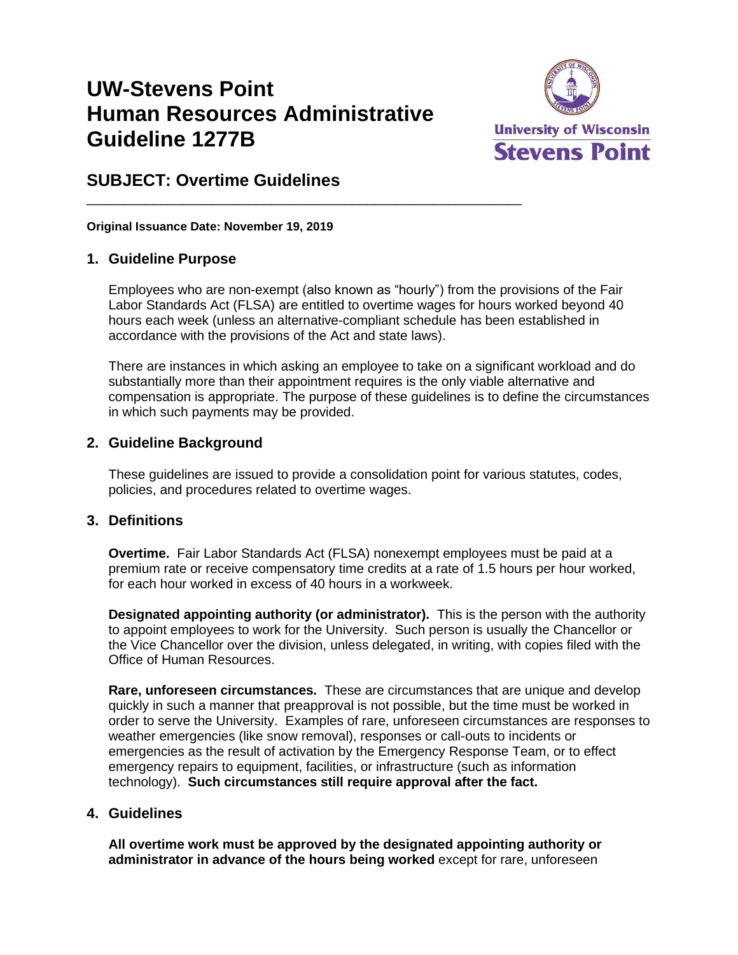# **UW-Stevens Point Human Resources Administrative Guideline 1277B**

\_\_\_\_\_\_\_\_\_\_\_\_\_\_\_\_\_\_\_\_\_\_\_\_\_\_\_\_\_\_\_\_\_\_\_\_\_\_\_\_\_\_\_\_\_\_\_\_\_\_\_\_\_\_\_\_\_\_\_



# **SUBJECT: Overtime Guidelines**

**Original Issuance Date: November 19, 2019**

#### **1. Guideline Purpose**

Employees who are non-exempt (also known as "hourly") from the provisions of the Fair Labor Standards Act (FLSA) are entitled to overtime wages for hours worked beyond 40 hours each week (unless an alternative-compliant schedule has been established in accordance with the provisions of the Act and state laws).

There are instances in which asking an employee to take on a significant workload and do substantially more than their appointment requires is the only viable alternative and compensation is appropriate. The purpose of these guidelines is to define the circumstances in which such payments may be provided.

# **2. Guideline Background**

These guidelines are issued to provide a consolidation point for various statutes, codes, policies, and procedures related to overtime wages.

#### **3. Definitions**

**Overtime.** Fair Labor Standards Act (FLSA) nonexempt employees must be paid at a premium rate or receive compensatory time credits at a rate of 1.5 hours per hour worked, for each hour worked in excess of 40 hours in a workweek.

**Designated appointing authority (or administrator).** This is the person with the authority to appoint employees to work for the University. Such person is usually the Chancellor or the Vice Chancellor over the division, unless delegated, in writing, with copies filed with the Office of Human Resources.

**Rare, unforeseen circumstances.** These are circumstances that are unique and develop quickly in such a manner that preapproval is not possible, but the time must be worked in order to serve the University. Examples of rare, unforeseen circumstances are responses to weather emergencies (like snow removal), responses or call-outs to incidents or emergencies as the result of activation by the Emergency Response Team, or to effect emergency repairs to equipment, facilities, or infrastructure (such as information technology). **Such circumstances still require approval after the fact.**

#### **4. Guidelines**

**All overtime work must be approved by the designated appointing authority or administrator in advance of the hours being worked** except for rare, unforeseen